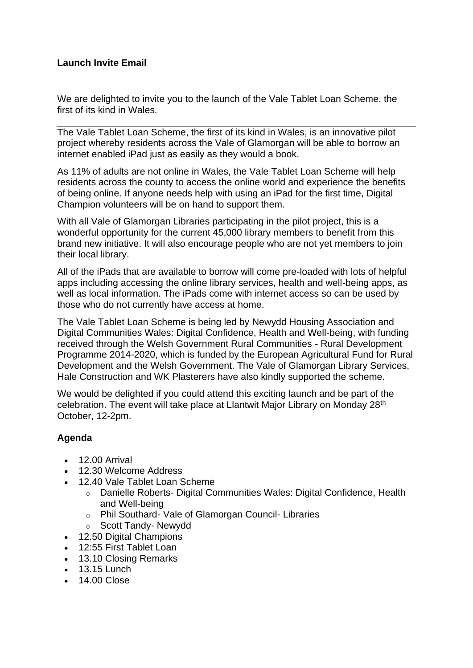#### **Launch Invite Email**

We are delighted to invite you to the launch of the Vale Tablet Loan Scheme, the first of its kind in Wales.

The Vale Tablet Loan Scheme, the first of its kind in Wales, is an innovative pilot project whereby residents across the Vale of Glamorgan will be able to borrow an internet enabled iPad just as easily as they would a book.

As 11% of adults are not online in Wales, the Vale Tablet Loan Scheme will help residents across the county to access the online world and experience the benefits of being online. If anyone needs help with using an iPad for the first time, Digital Champion volunteers will be on hand to support them.

With all Vale of Glamorgan Libraries participating in the pilot project, this is a wonderful opportunity for the current 45,000 library members to benefit from this brand new initiative. It will also encourage people who are not yet members to join their local library.

All of the iPads that are available to borrow will come pre-loaded with lots of helpful apps including accessing the online library services, health and well-being apps, as well as local information. The iPads come with internet access so can be used by those who do not currently have access at home.

The Vale Tablet Loan Scheme is being led by Newydd Housing Association and Digital Communities Wales: Digital Confidence, Health and Well-being, with funding received through the Welsh Government Rural Communities - Rural Development Programme 2014-2020, which is funded by the European Agricultural Fund for Rural Development and the Welsh Government. The Vale of Glamorgan Library Services, Hale Construction and WK Plasterers have also kindly supported the scheme.

We would be delighted if you could attend this exciting launch and be part of the celebration. The event will take place at Llantwit Major Library on Monday 28th October, 12-2pm.

#### **Agenda**

- 12.00 Arrival
- 12.30 Welcome Address
- 12.40 Vale Tablet Loan Scheme
	- o Danielle Roberts- Digital Communities Wales: Digital Confidence, Health and Well-being
	- o Phil Southard- Vale of Glamorgan Council- Libraries
	- o Scott Tandy- Newydd
- 12.50 Digital Champions
- 12:55 First Tablet Loan
- 13.10 Closing Remarks
- $\cdot$  13.15 Lunch
- 14.00 Close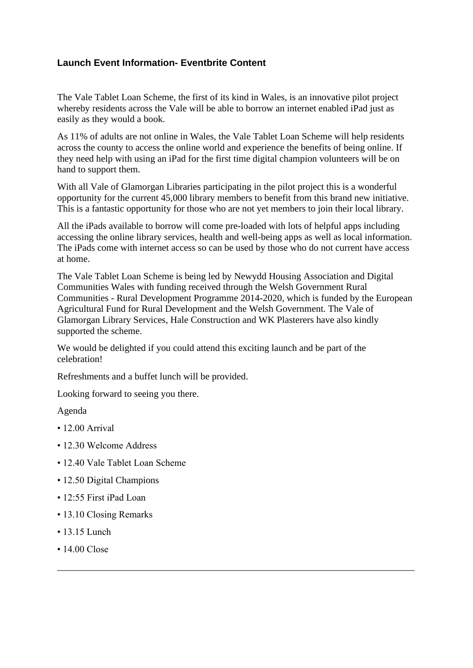#### **Launch Event Information- Eventbrite Content**

The Vale Tablet Loan Scheme, the first of its kind in Wales, is an innovative pilot project whereby residents across the Vale will be able to borrow an internet enabled iPad just as easily as they would a book.

As 11% of adults are not online in Wales, the Vale Tablet Loan Scheme will help residents across the county to access the online world and experience the benefits of being online. If they need help with using an iPad for the first time digital champion volunteers will be on hand to support them.

With all Vale of Glamorgan Libraries participating in the pilot project this is a wonderful opportunity for the current 45,000 library members to benefit from this brand new initiative. This is a fantastic opportunity for those who are not yet members to join their local library.

All the iPads available to borrow will come pre-loaded with lots of helpful apps including accessing the online library services, health and well-being apps as well as local information. The iPads come with internet access so can be used by those who do not current have access at home.

The Vale Tablet Loan Scheme is being led by Newydd Housing Association and Digital Communities Wales with funding received through the Welsh Government Rural Communities - Rural Development Programme 2014-2020, which is funded by the European Agricultural Fund for Rural Development and the Welsh Government. The Vale of Glamorgan Library Services, Hale Construction and WK Plasterers have also kindly supported the scheme.

\_\_\_\_\_\_\_\_\_\_\_\_\_\_\_\_\_\_\_\_\_\_\_\_\_\_\_\_\_\_\_\_\_\_\_\_\_\_\_\_\_\_\_\_\_\_\_\_\_\_\_\_\_\_\_\_\_\_\_\_\_\_\_\_\_\_\_\_\_\_\_\_\_\_\_

We would be delighted if you could attend this exciting launch and be part of the celebration!

Refreshments and a buffet lunch will be provided.

Looking forward to seeing you there.

#### Agenda

- $\cdot$  12.00 Arrival
- 12.30 Welcome Address
- 12.40 Vale Tablet Loan Scheme
- 12.50 Digital Champions
- 12:55 First iPad Loan
- 13.10 Closing Remarks
- 13.15 Lunch
- 14.00 Close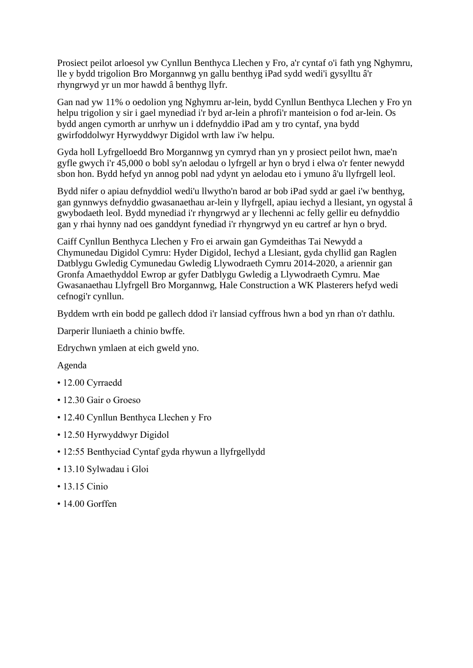Prosiect peilot arloesol yw Cynllun Benthyca Llechen y Fro, a'r cyntaf o'i fath yng Nghymru, lle y bydd trigolion Bro Morgannwg yn gallu benthyg iPad sydd wedi'i gysylltu â'r rhyngrwyd yr un mor hawdd â benthyg llyfr.

Gan nad yw 11% o oedolion yng Nghymru ar-lein, bydd Cynllun Benthyca Llechen y Fro yn helpu trigolion y sir i gael mynediad i'r byd ar-lein a phrofi'r manteision o fod ar-lein. Os bydd angen cymorth ar unrhyw un i ddefnyddio iPad am y tro cyntaf, yna bydd gwirfoddolwyr Hyrwyddwyr Digidol wrth law i'w helpu.

Gyda holl Lyfrgelloedd Bro Morgannwg yn cymryd rhan yn y prosiect peilot hwn, mae'n gyfle gwych i'r 45,000 o bobl sy'n aelodau o lyfrgell ar hyn o bryd i elwa o'r fenter newydd sbon hon. Bydd hefyd yn annog pobl nad ydynt yn aelodau eto i ymuno â'u llyfrgell leol.

Bydd nifer o apiau defnyddiol wedi'u llwytho'n barod ar bob iPad sydd ar gael i'w benthyg, gan gynnwys defnyddio gwasanaethau ar-lein y llyfrgell, apiau iechyd a llesiant, yn ogystal â gwybodaeth leol. Bydd mynediad i'r rhyngrwyd ar y llechenni ac felly gellir eu defnyddio gan y rhai hynny nad oes ganddynt fynediad i'r rhyngrwyd yn eu cartref ar hyn o bryd.

Caiff Cynllun Benthyca Llechen y Fro ei arwain gan Gymdeithas Tai Newydd a Chymunedau Digidol Cymru: Hyder Digidol, Iechyd a Llesiant, gyda chyllid gan Raglen Datblygu Gwledig Cymunedau Gwledig Llywodraeth Cymru 2014-2020, a ariennir gan Gronfa Amaethyddol Ewrop ar gyfer Datblygu Gwledig a Llywodraeth Cymru. Mae Gwasanaethau Llyfrgell Bro Morgannwg, Hale Construction a WK Plasterers hefyd wedi cefnogi'r cynllun.

Byddem wrth ein bodd pe gallech ddod i'r lansiad cyffrous hwn a bod yn rhan o'r dathlu.

Darperir lluniaeth a chinio bwffe.

Edrychwn ymlaen at eich gweld yno.

#### Agenda

- 12.00 Cyrraedd
- 12.30 Gair o Groeso
- 12.40 Cynllun Benthyca Llechen y Fro
- 12.50 Hyrwyddwyr Digidol
- 12:55 Benthyciad Cyntaf gyda rhywun a llyfrgellydd
- 13.10 Sylwadau i Gloi
- 13.15 Cinio
- 14.00 Gorffen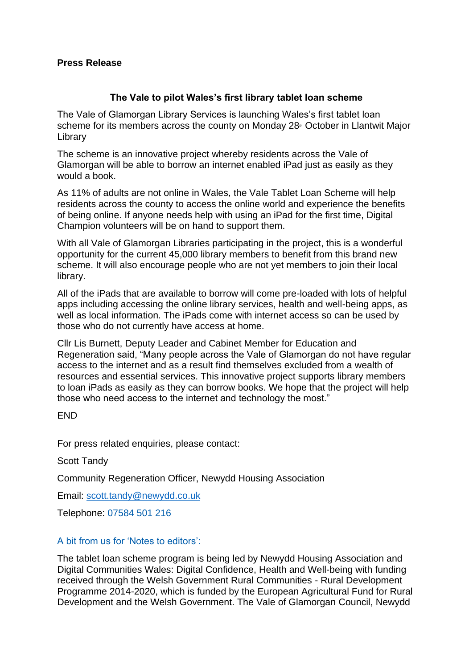#### **Press Release**

#### **The Vale to pilot Wales's first library tablet loan scheme**

The Vale of Glamorgan Library Services is launching Wales's first tablet loan scheme for its members across the county on Monday 28<sup>th</sup> October in Llantwit Major Library

The scheme is an innovative project whereby residents across the Vale of Glamorgan will be able to borrow an internet enabled iPad just as easily as they would a book.

As 11% of adults are not online in Wales, the Vale Tablet Loan Scheme will help residents across the county to access the online world and experience the benefits of being online. If anyone needs help with using an iPad for the first time, Digital Champion volunteers will be on hand to support them.

With all Vale of Glamorgan Libraries participating in the project, this is a wonderful opportunity for the current 45,000 library members to benefit from this brand new scheme. It will also encourage people who are not yet members to join their local library.

All of the iPads that are available to borrow will come pre-loaded with lots of helpful apps including accessing the online library services, health and well-being apps, as well as local information. The iPads come with internet access so can be used by those who do not currently have access at home.

Cllr Lis Burnett, Deputy Leader and Cabinet Member for Education and Regeneration said, "Many people across the Vale of Glamorgan do not have regular access to the internet and as a result find themselves excluded from a wealth of resources and essential services. This innovative project supports library members to loan iPads as easily as they can borrow books. We hope that the project will help those who need access to the internet and technology the most."

**FND** 

For press related enquiries, please contact:

Scott Tandy

Community Regeneration Officer, Newydd Housing Association

Email: [scott.tandy@newydd.co.uk](mailto:scott.tandy@newydd.co.uk)

Telephone: 07584 501 216

#### A bit from us for 'Notes to editors':

The tablet loan scheme program is being led by Newydd Housing Association and Digital Communities Wales: Digital Confidence, Health and Well-being with funding received through the Welsh Government Rural Communities - Rural Development Programme 2014-2020, which is funded by the European Agricultural Fund for Rural Development and the Welsh Government. The Vale of Glamorgan Council, Newydd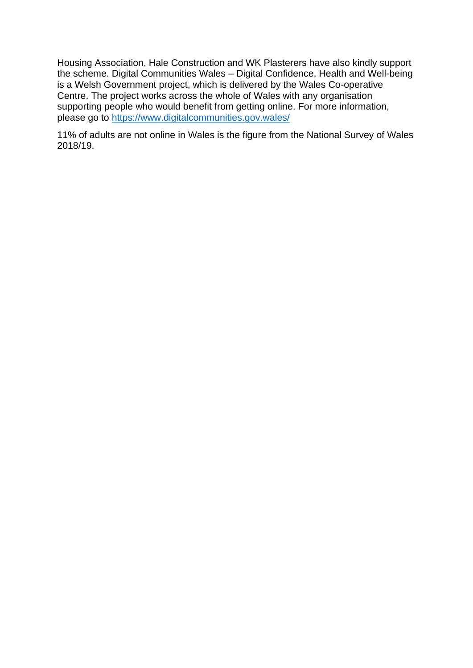Housing Association, Hale Construction and WK Plasterers have also kindly support the scheme. Digital Communities Wales – Digital Confidence, Health and Well-being is a Welsh Government project, which is delivered by the Wales Co-operative Centre. The project works across the whole of Wales with any organisation supporting people who would benefit from getting online. For more information, please go to<https://www.digitalcommunities.gov.wales/>

11% of adults are not online in Wales is the figure from the National Survey of Wales 2018/19.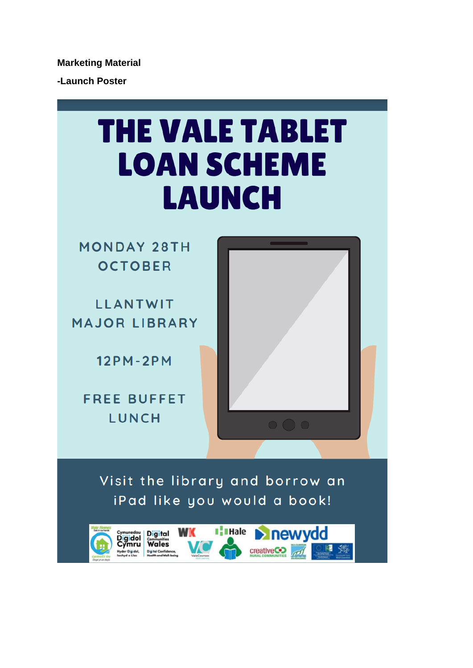**Marketing Material**

**-Launch Poster**

## **THE VALE TABLET LOAN SCHEME LAUNCH**

**MONDAY 28TH OCTOBER** 

**LLANTWIT MAJOR LIBRARY** 

 $12PM - 2PM$ 

**FREE BUFFET LUNCH** 



Visit the library and borrow an iPad like you would a book!